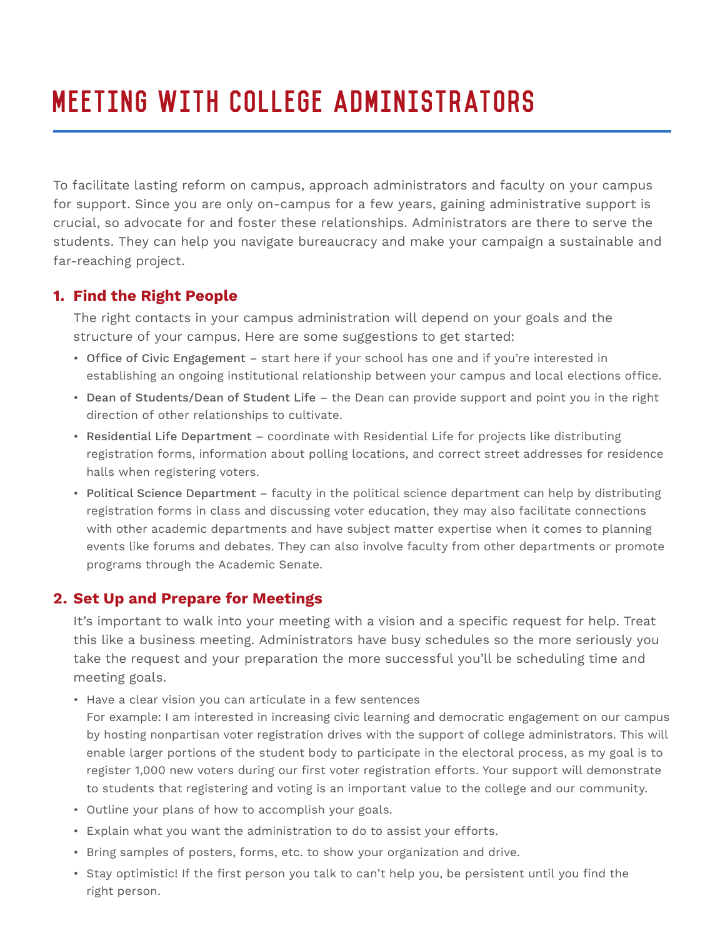## Meeting with College Administrators

To facilitate lasting reform on campus, approach administrators and faculty on your campus for support. Since you are only on-campus for a few years, gaining administrative support is crucial, so advocate for and foster these relationships. Administrators are there to serve the students. They can help you navigate bureaucracy and make your campaign a sustainable and far-reaching project.

## **1. Find the Right People**

The right contacts in your campus administration will depend on your goals and the structure of your campus. Here are some suggestions to get started:

- Office of Civic Engagement start here if your school has one and if you're interested in establishing an ongoing institutional relationship between your campus and local elections office.
- Dean of Students/Dean of Student Life the Dean can provide support and point you in the right direction of other relationships to cultivate.
- Residential Life Department coordinate with Residential Life for projects like distributing registration forms, information about polling locations, and correct street addresses for residence halls when registering voters.
- Political Science Department faculty in the political science department can help by distributing registration forms in class and discussing voter education, they may also facilitate connections with other academic departments and have subject matter expertise when it comes to planning events like forums and debates. They can also involve faculty from other departments or promote programs through the Academic Senate.

## **2. Set Up and Prepare for Meetings**

 It's important to walk into your meeting with a vision and a specific request for help. Treat this like a business meeting. Administrators have busy schedules so the more seriously you take the request and your preparation the more successful you'll be scheduling time and meeting goals.

• Have a clear vision you can articulate in a few sentences

 For example: I am interested in increasing civic learning and democratic engagement on our campus by hosting nonpartisan voter registration drives with the support of college administrators. This will enable larger portions of the student body to participate in the electoral process, as my goal is to register 1,000 new voters during our first voter registration efforts. Your support will demonstrate to students that registering and voting is an important value to the college and our community.

- Outline your plans of how to accomplish your goals.
- Explain what you want the administration to do to assist your efforts.
- Bring samples of posters, forms, etc. to show your organization and drive.
- Stay optimistic! If the first person you talk to can't help you, be persistent until you find the right person.